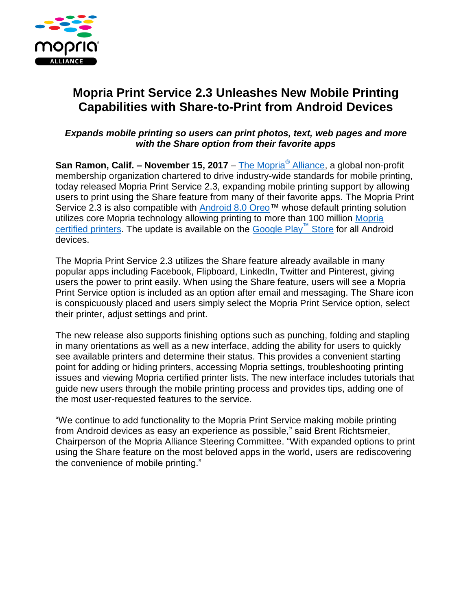

## **Mopria Print Service 2.3 Unleashes New Mobile Printing Capabilities with Share-to-Print from Android Devices**

## *Expands mobile printing so users can print photos, text, web pages and more with the Share option from their favorite apps*

**San Ramon, Calif. – November 15, 2017** – [The Mopria](http://mopria.org/)® Alliance, a global non-profit membership organization chartered to drive industry-wide standards for mobile printing, today released Mopria Print Service 2.3, expanding mobile printing support by allowing users to print using the Share feature from many of their favorite apps. The Mopria Print Service 2.3 is also compatible with [Android 8.0 Oreo™](http://cts.businesswire.com/ct/CT?id=smartlink&url=https%3A%2F%2Fwww.android.com%2Fversions%2Foreo-8-0%2F&esheet=51673924&newsitemid=20170825005141&lan=de-DE&anchor=Android+8.0+Oreo%E2%84%A2&index=2&md5=b6ee319c9be3638aa8520c226089de31) whose default printing solution utilizes core Mopria technology allowing printing to more than 100 million [Mopria](http://mopria.org/certified-products)  [certified printers.](http://mopria.org/certified-products) The update is available on the [Google Play](https://play.google.com/store/apps/details?id=org.mopria.printplugin)™ Store for all Android devices.

The Mopria Print Service 2.3 utilizes the Share feature already available in many popular apps including Facebook, Flipboard, LinkedIn, Twitter and Pinterest, giving users the power to print easily. When using the Share feature, users will see a Mopria Print Service option is included as an option after email and messaging. The Share icon is conspicuously placed and users simply select the Mopria Print Service option, select their printer, adjust settings and print.

The new release also supports finishing options such as punching, folding and stapling in many orientations as well as a new interface, adding the ability for users to quickly see available printers and determine their status. This provides a convenient starting point for adding or hiding printers, accessing Mopria settings, troubleshooting printing issues and viewing Mopria certified printer lists. The new interface includes tutorials that guide new users through the mobile printing process and provides tips, adding one of the most user-requested features to the service.

"We continue to add functionality to the Mopria Print Service making mobile printing from Android devices as easy an experience as possible," said Brent Richtsmeier, Chairperson of the Mopria Alliance Steering Committee. "With expanded options to print using the Share feature on the most beloved apps in the world, users are rediscovering the convenience of mobile printing."